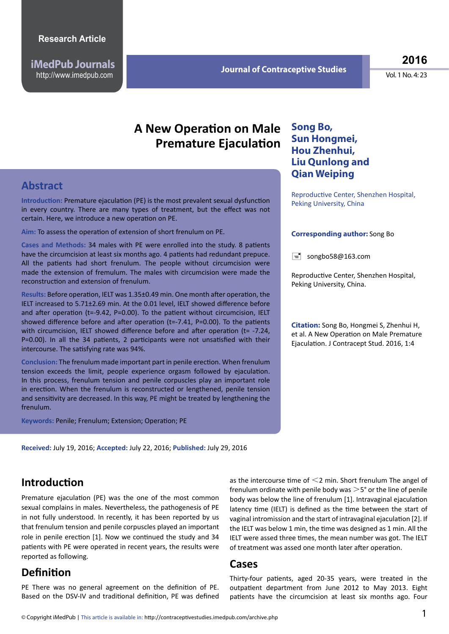**iMedPub Journals** http://www.imedpub.com

**Song Bo,**

**Sun Hongmei, Hou Zhenhui, Liu Qunlong and Qian Weiping** 

**2016**

Vol. 1 No. 4: 23

## **A New Operation on Male Premature Ejaculation**

## **Abstract**

**Introduction:** Premature ejaculation (PE) is the most prevalent sexual dysfunction in every country. There are many types of treatment, but the effect was not certain. Here, we introduce a new operation on PE.

**Aim:** To assess the operation of extension of short frenulum on PE.

**Cases and Methods:** 34 males with PE were enrolled into the study. 8 patients have the circumcision at least six months ago. 4 patients had redundant prepuce. All the patients had short frenulum. The people without circumcision were made the extension of fremulum. The males with circumcision were made the reconstruction and extension of frenulum.

**Results:** Before operation, IELT was 1.35±0.49 min. One month after operation, the IELT increased to 5.71±2.69 min. At the 0.01 level, IELT showed difference before and after operation ( $t=-9.42$ ,  $P=0.00$ ). To the patient without circumcision, IELT showed difference before and after operation (t=-7.41, P=0.00). To the patients with circumcision, IELT showed difference before and after operation (t= -7.24, P=0.00). In all the 34 patients, 2 participants were not unsatisfied with their intercourse. The satisfying rate was 94%.

**Conclusion:** The frenulum made important part in penile erection. When frenulum tension exceeds the limit, people experience orgasm followed by ejaculation. In this process, frenulum tension and penile corpuscles play an important role in erection. When the frenulum is reconstructed or lengthened, penile tension and sensitivity are decreased. In this way, PE might be treated by lengthening the frenulum.

**Keywords:** Penile; Frenulum; Extension; Operation; PE

**Received:** July 19, 2016; **Accepted:** July 22, 2016; **Published:** July 29, 2016

## **Introduction**

Premature ejaculation (PE) was the one of the most common sexual complains in males. Nevertheless, the pathogenesis of PE in not fully understood. In recently, it has been reported by us that frenulum tension and penile corpuscles played an important role in penile erection [1]. Now we continued the study and 34 patients with PE were operated in recent years, the results were reported as following.

## **Definition**

PE There was no general agreement on the definition of PE. Based on the DSV-IV and traditional definition, PE was defined as the intercourse time of  $\leq$ 2 min. Short frenulum The angel of frenulum ordinate with penile body was  $>5^{\circ}$  or the line of penile body was below the line of frenulum [1]. Intravaginal ejaculation latency time (IELT) is defined as the time between the start of vaginal intromission and the start of intravaginal ejaculation [2]. If the IELT was below 1 min, the time was designed as 1 min. All the IELT were assed three times, the mean number was got. The IELT of treatment was assed one month later after operation.

#### **Cases**

Thirty-four patients, aged 20-35 years, were treated in the outpatient department from June 2012 to May 2013. Eight patients have the circumcision at least six months ago. Four

# Reproductive Center, Shenzhen Hospital, Peking University, China

#### **Corresponding author:** Song Bo

 $\equiv$  songbo58@163.com

Reproductive Center, Shenzhen Hospital, Peking University, China.

**Citation:** Song Bo, Hongmei S, Zhenhui H, et al. A New Operation on Male Premature Ejaculation. J Contracept Stud. 2016, 1:4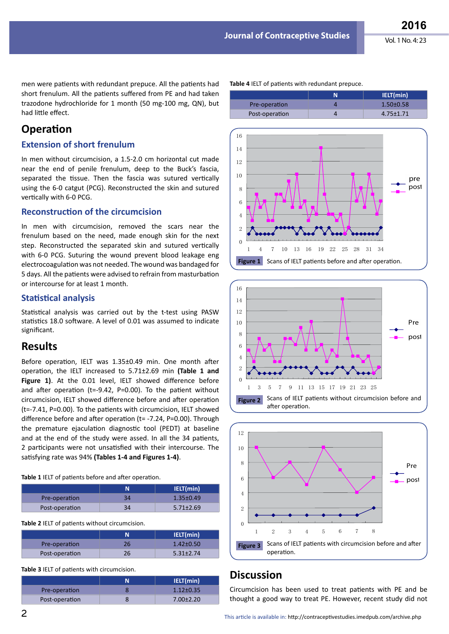**N IELT(min)**

men were patients with redundant prepuce. All the patients had short frenulum. All the patients suffered from PE and had taken trazodone hydrochloride for 1 month (50 mg-100 mg, QN), but had little effect.

## **Operation**

#### **Extension of short frenulum**

In men without circumcision, a 1.5-2.0 cm horizontal cut made near the end of penile frenulum, deep to the Buck's fascia, separated the tissue. Then the fascia was sutured vertically using the 6-0 catgut (PCG). Reconstructed the skin and sutured vertically with 6-0 PCG.

#### **Reconstruction of the circumcision**

In men with circumcision, removed the scars near the frenulum based on the need, made enough skin for the next step. Reconstructed the separated skin and sutured vertically with 6-0 PCG. Suturing the wound prevent blood leakage eng electrocoagulation was not needed. The wound was bandaged for 5 days. All the patients were advised to refrain from masturbation or intercourse for at least 1 month.

#### **Statistical analysis**

Statistical analysis was carried out by the t-test using PASW statistics 18.0 software. A level of 0.01 was assumed to indicate significant.

#### **Results**

Before operation, IELT was 1.35±0.49 min. One month after operation, the IELT increased to 5.71±2.69 min **(Table 1 and Figure 1)**. At the 0.01 level, IELT showed difference before and after operation (t=-9.42, P=0.00). To the patient without circumcision, IELT showed difference before and after operation (t=-7.41, P=0.00). To the patients with circumcision, IELT showed difference before and after operation (t= -7.24, P=0.00). Through the premature ejaculation diagnostic tool (PEDT) at baseline and at the end of the study were assed. In all the 34 patients, 2 participants were not unsatisfied with their intercourse. The satisfying rate was 94% **(Tables 1-4 and Figures 1-4)**.

**Table 1** IELT of patients before and after operation.

|                |    | IELT(min)       |
|----------------|----|-----------------|
| Pre-operation  | 34 | $1.35 \pm 0.49$ |
| Post-operation |    | $5.71 \pm 2.69$ |

**Table 2** IELT of patients without circumcision.

|                | IELT(min)       |
|----------------|-----------------|
| Pre-operation  | $1.42 \pm 0.50$ |
| Post-operation | $5.31 \pm 2.74$ |

**Table 3** IELT of patients with circumcision.

|                | IELT(min)       |
|----------------|-----------------|
| Pre-operation  | $1.12 \pm 0.35$ |
| Post-operation | $7.00 \pm 2.20$ |



Pre-operation 4 1.50±0.58

**Table 4** IELT of patients with redundant prepuce.





## **Discussion**

Circumcision has been used to treat patients with PE and be thought a good way to treat PE. However, recent study did not

2 This article is available in: http://contraceptivestudies.imedpub.com/archive.php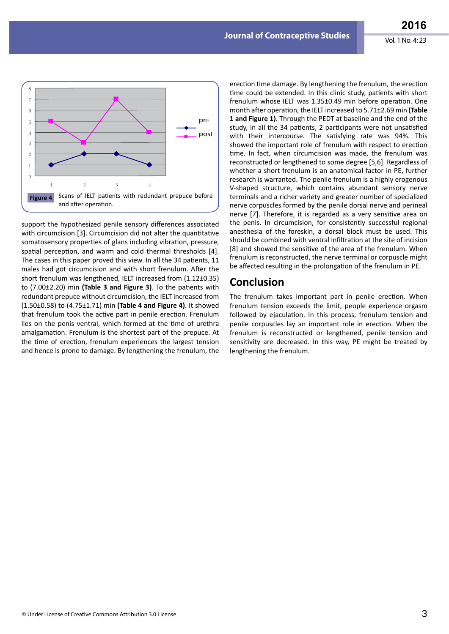

support the hypothesized penile sensory differences associated with circumcision [3]. Circumcision did not alter the quantitative somatosensory properties of glans including vibration, pressure, spatial perception, and warm and cold thermal thresholds [4]. The cases in this paper proved this view. In all the 34 patients, 11 males had got circumcision and with short frenulum. After the short frenulum was lengthened, IELT increased from (1.12±0.35) to (7.00±2.20) min **(Table 3 and Figure 3)**. To the patients with redundant prepuce without circumcision, the IELT increased from (1.50±0.58) to (4.75±1.71) min **(Table 4 and Figure 4)**. It showed that frenulum took the active part in penile erection. Frenulum lies on the penis ventral, which formed at the time of urethra amalgamation. Frenulum is the shortest part of the prepuce. At the time of erection, frenulum experiences the largest tension and hence is prone to damage. By lengthening the frenulum, the

erection time damage. By lengthening the frenulum, the erection time could be extended. In this clinic study, patients with short frenulum whose IELT was 1.35±0.49 min before operation. One month after operation, the IELT increased to 5.71±2.69 min **(Table 1 and Figure 1)**. Through the PEDT at baseline and the end of the study, in all the 34 patients, 2 participants were not unsatisfied with their intercourse. The satisfying rate was 94%. This showed the important role of frenulum with respect to erection time. In fact, when circumcision was made, the frenulum was reconstructed or lengthened to some degree [5,6]. Regardless of whether a short frenulum is an anatomical factor in PE, further research is warranted. The penile frenulum is a highly erogenous V-shaped structure, which contains abundant sensory nerve terminals and a richer variety and greater number of specialized nerve corpuscles formed by the penile dorsal nerve and perineal nerve [7]. Therefore, it is regarded as a very sensitive area on the penis. In circumcision, for consistently successful regional anesthesia of the foreskin, a dorsal block must be used. This should be combined with ventral infiltration at the site of incision [8] and showed the sensitive of the area of the frenulum. When frenulum is reconstructed, the nerve terminal or corpuscle might be affected resulting in the prolongation of the frenulum in PE.

### **Conclusion**

The frenulum takes important part in penile erection. When frenulum tension exceeds the limit, people experience orgasm followed by ejaculation. In this process, frenulum tension and penile corpuscles lay an important role in erection. When the frenulum is reconstructed or lengthened, penile tension and sensitivity are decreased. In this way, PE might be treated by lengthening the frenulum.